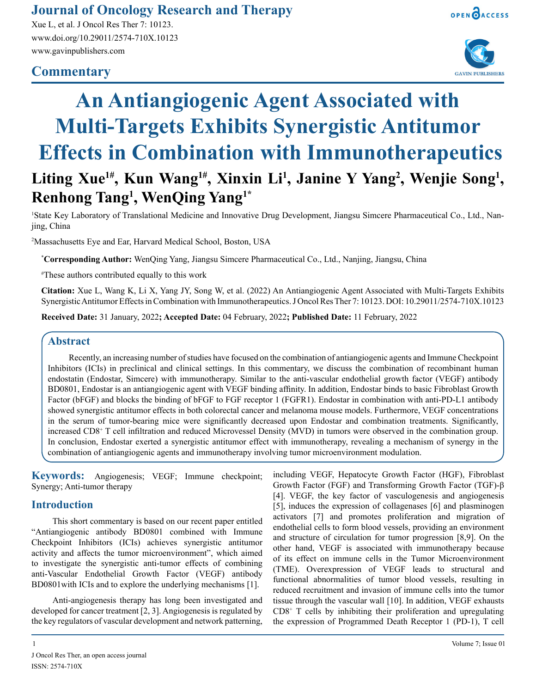# **Journal of Oncology Research and Therapy**

Xue L, et al. J Oncol Res Ther 7: 10123. www.doi.org/10.29011/2574-710X.10123 www.gavinpublishers.com

# **Commentary**





# **An Antiangiogenic Agent Associated with Multi-Targets Exhibits Synergistic Antitumor Effects in Combination with Immunotherapeutics** Liting Xue<sup>1#</sup>, Kun Wang<sup>1#</sup>, Xinxin Li<sup>1</sup>, Janine Y Yang<sup>2</sup>, Wenjie Song<sup>1</sup>,

**Renhong Tang1 , WenQing Yang1\***

<sup>1</sup>State Key Laboratory of Translational Medicine and Innovative Drug Development, Jiangsu Simcere Pharmaceutical Co., Ltd., Nanjing, China

2 Massachusetts Eye and Ear, Harvard Medical School, Boston, USA

**\* Corresponding Author:** WenQing Yang, Jiangsu Simcere Pharmaceutical Co., Ltd., Nanjing, Jiangsu, China

# These authors contributed equally to this work

**Citation:** Xue L, Wang K, Li X, Yang JY, Song W, et al. (2022) An Antiangiogenic Agent Associated with Multi-Targets Exhibits Synergistic Antitumor Effects in Combination with Immunotherapeutics. J Oncol Res Ther 7: 10123. DOI: 10.29011/2574-710X.10123

**Received Date:** 31 January, 2022**; Accepted Date:** 04 February, 2022**; Published Date:** 11 February, 2022

#### **Abstract**

Recently, an increasing number of studies have focused on the combination of antiangiogenic agents and Immune Checkpoint Inhibitors (ICIs) in preclinical and clinical settings. In this commentary, we discuss the combination of recombinant human endostatin (Endostar, Simcere) with immunotherapy. Similar to the anti-vascular endothelial growth factor (VEGF) antibody BD0801, Endostar is an antiangiogenic agent with VEGF binding affinity. In addition, Endostar binds to basic Fibroblast Growth Factor (bFGF) and blocks the binding of bFGF to FGF receptor 1 (FGFR1). Endostar in combination with anti-PD-L1 antibody showed synergistic antitumor effects in both colorectal cancer and melanoma mouse models. Furthermore, VEGF concentrations in the serum of tumor-bearing mice were significantly decreased upon Endostar and combination treatments. Significantly, increased CD8+ T cell infiltration and reduced Microvessel Density (MVD) in tumors were observed in the combination group. In conclusion, Endostar exerted a synergistic antitumor effect with immunotherapy, revealing a mechanism of synergy in the combination of antiangiogenic agents and immunotherapy involving tumor microenvironment modulation.

**Keywords:** Angiogenesis; VEGF; Immune checkpoint; Synergy; Anti-tumor therapy

## **Introduction**

This short commentary is based on our recent paper entitled "Antiangiogenic antibody BD0801 combined with Immune Checkpoint Inhibitors (ICIs) achieves synergistic antitumor activity and affects the tumor microenvironment", which aimed to investigate the synergistic anti-tumor effects of combining anti-Vascular Endothelial Growth Factor (VEGF) antibody BD0801with ICIs and to explore the underlying mechanisms [1].

Anti-angiogenesis therapy has long been investigated and developed for cancer treatment [2, 3]. Angiogenesis is regulated by the key regulators of vascular development and network patterning,

including VEGF, Hepatocyte Growth Factor (HGF), Fibroblast Growth Factor (FGF) and Transforming Growth Factor (TGF)-β [4]. VEGF, the key factor of vasculogenesis and angiogenesis [5], induces the expression of collagenases [6] and plasminogen activators [7] and promotes proliferation and migration of endothelial cells to form blood vessels, providing an environment and structure of circulation for tumor progression [8,9]. On the other hand, VEGF is associated with immunotherapy because of its effect on immune cells in the Tumor Microenvironment (TME). Overexpression of VEGF leads to structural and functional abnormalities of tumor blood vessels, resulting in reduced recruitment and invasion of immune cells into the tumor tissue through the vascular wall [10]. In addition, VEGF exhausts CD8+ T cells by inhibiting their proliferation and upregulating the expression of Programmed Death Receptor 1 (PD-1), T cell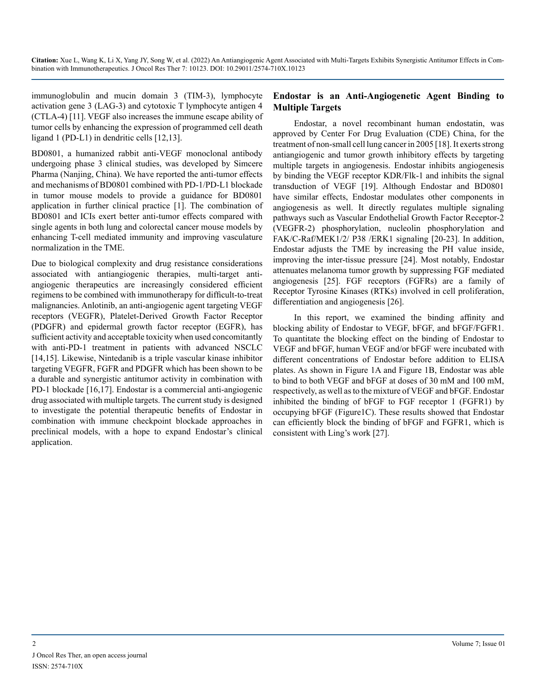immunoglobulin and mucin domain 3 (TIM-3), lymphocyte activation gene 3 (LAG-3) and cytotoxic T lymphocyte antigen 4 (CTLA-4) [11]. VEGF also increases the immune escape ability of tumor cells by enhancing the expression of programmed cell death ligand 1 (PD-L1) in dendritic cells [12,13].

BD0801, a humanized rabbit anti-VEGF monoclonal antibody undergoing phase 3 clinical studies, was developed by Simcere Pharma (Nanjing, China). We have reported the anti-tumor effects and mechanisms of BD0801 combined with PD-1/PD-L1 blockade in tumor mouse models to provide a guidance for BD0801 application in further clinical practice [1]. The combination of BD0801 and ICIs exert better anti-tumor effects compared with single agents in both lung and colorectal cancer mouse models by enhancing T-cell mediated immunity and improving vasculature normalization in the TME.

Due to biological complexity and drug resistance considerations associated with antiangiogenic therapies, multi-target antiangiogenic therapeutics are increasingly considered efficient regimens to be combined with immunotherapy for difficult-to-treat malignancies. Anlotinib, an anti-angiogenic agent targeting VEGF receptors (VEGFR), Platelet-Derived Growth Factor Receptor (PDGFR) and epidermal growth factor receptor (EGFR), has sufficient activity and acceptable toxicity when used concomitantly with anti-PD-1 treatment in patients with advanced NSCLC [14,15]. Likewise, Nintedanib is a triple vascular kinase inhibitor targeting VEGFR, FGFR and PDGFR which has been shown to be a durable and synergistic antitumor activity in combination with PD-1 blockade [16,17]. Endostar is a commercial anti-angiogenic drug associated with multiple targets. The current study is designed to investigate the potential therapeutic benefits of Endostar in combination with immune checkpoint blockade approaches in preclinical models, with a hope to expand Endostar's clinical application.

#### **Endostar is an Anti-Angiogenetic Agent Binding to Multiple Targets**

Endostar, a novel recombinant human endostatin, was approved by Center For Drug Evaluation (CDE) China, for the treatment of non-small cell lung cancer in 2005 [18]. It exerts strong antiangiogenic and tumor growth inhibitory effects by targeting multiple targets in angiogenesis. Endostar inhibits angiogenesis by binding the VEGF receptor KDR/Flk-1 and inhibits the signal transduction of VEGF [19]. Although Endostar and BD0801 have similar effects, Endostar modulates other components in angiogenesis as well. It directly regulates multiple signaling pathways such as Vascular Endothelial Growth Factor Receptor-2 (VEGFR-2) phosphorylation, nucleolin phosphorylation and FAK/C-Raf/MEK1/2/ P38 /ERK1 signaling [20-23]. In addition, Endostar adjusts the TME by increasing the PH value inside, improving the inter-tissue pressure [24]. Most notably, Endostar attenuates melanoma tumor growth by suppressing FGF mediated angiogenesis [25]. FGF receptors (FGFRs) are a family of Receptor Tyrosine Kinases (RTKs) involved in cell proliferation, differentiation and angiogenesis [26].

In this report, we examined the binding affinity and blocking ability of Endostar to VEGF, bFGF, and bFGF/FGFR1. To quantitate the blocking effect on the binding of Endostar to VEGF and bFGF, human VEGF and/or bFGF were incubated with different concentrations of Endostar before addition to ELISA plates. As shown in Figure 1A and Figure 1B, Endostar was able to bind to both VEGF and bFGF at doses of 30 mM and 100 mM, respectively, as well as to the mixture of VEGF and bFGF. Endostar inhibited the binding of bFGF to FGF receptor 1 (FGFR1) by occupying bFGF (Figure1C). These results showed that Endostar can efficiently block the binding of bFGF and FGFR1, which is consistent with Ling's work [27].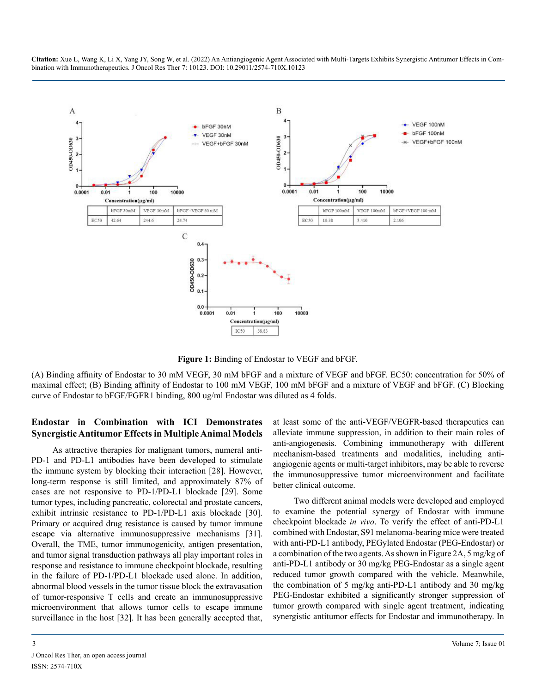

**Figure 1:** Binding of Endostar to VEGF and bFGF.

(A) Binding affinity of Endostar to 30 mM VEGF, 30 mM bFGF and a mixture of VEGF and bFGF. EC50: concentration for 50% of maximal effect; (B) Binding affinity of Endostar to 100 mM VEGF, 100 mM bFGF and a mixture of VEGF and bFGF. (C) Blocking curve of Endostar to bFGF/FGFR1 binding, 800 ug/ml Endostar was diluted as 4 folds.

#### **Endostar in Combination with ICI Demonstrates Synergistic Antitumor Effects in Multiple Animal Models**

As attractive therapies for malignant tumors, numeral anti-PD-1 and PD-L1 antibodies have been developed to stimulate the immune system by blocking their interaction [28]. However, long-term response is still limited, and approximately 87% of cases are not responsive to PD-1/PD-L1 blockade [29]. Some tumor types, including pancreatic, colorectal and prostate cancers, exhibit intrinsic resistance to PD-1/PD-L1 axis blockade [30]. Primary or acquired drug resistance is caused by tumor immune escape via alternative immunosuppressive mechanisms [31]. Overall, the TME, tumor immunogenicity, antigen presentation, and tumor signal transduction pathways all play important roles in response and resistance to immune checkpoint blockade, resulting in the failure of PD-1/PD-L1 blockade used alone. In addition, abnormal blood vessels in the tumor tissue block the extravasation of tumor-responsive T cells and create an immunosuppressive microenvironment that allows tumor cells to escape immune surveillance in the host [32]. It has been generally accepted that,

at least some of the anti-VEGF/VEGFR-based therapeutics can alleviate immune suppression, in addition to their main roles of anti-angiogenesis. Combining immunotherapy with different mechanism-based treatments and modalities, including antiangiogenic agents or multi-target inhibitors, may be able to reverse the immunosuppressive tumor microenvironment and facilitate better clinical outcome.

Two different animal models were developed and employed to examine the potential synergy of Endostar with immune checkpoint blockade *in vivo*. To verify the effect of anti-PD-L1 combined with Endostar, S91 melanoma-bearing mice were treated with anti-PD-L1 antibody, PEGylated Endostar (PEG-Endostar) or a combination of the two agents. As shown in Figure 2A, 5 mg/kg of anti-PD-L1 antibody or 30 mg/kg PEG-Endostar as a single agent reduced tumor growth compared with the vehicle. Meanwhile, the combination of 5 mg/kg anti-PD-L1 antibody and 30 mg/kg PEG-Endostar exhibited a significantly stronger suppression of tumor growth compared with single agent treatment, indicating synergistic antitumor effects for Endostar and immunotherapy. In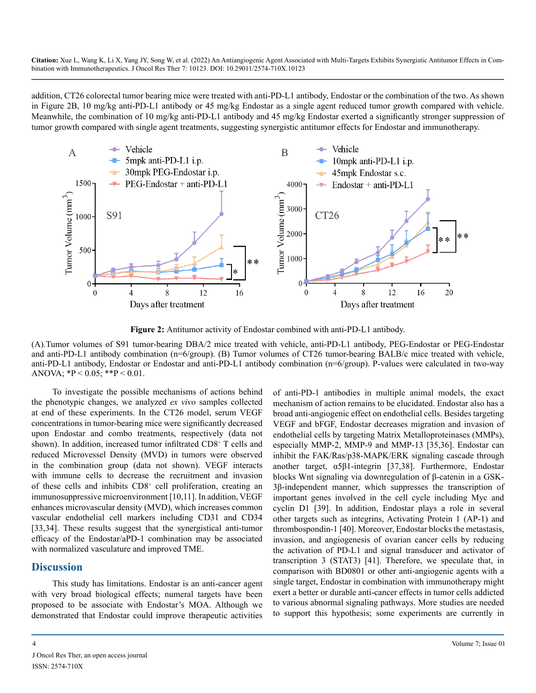addition, CT26 colorectal tumor bearing mice were treated with anti-PD-L1 antibody, Endostar or the combination of the two. As shown in Figure 2B, 10 mg/kg anti-PD-L1 antibody or 45 mg/kg Endostar as a single agent reduced tumor growth compared with vehicle. Meanwhile, the combination of 10 mg/kg anti-PD-L1 antibody and 45 mg/kg Endostar exerted a significantly stronger suppression of tumor growth compared with single agent treatments, suggesting synergistic antitumor effects for Endostar and immunotherapy.



**Figure 2:** Antitumor activity of Endostar combined with anti-PD-L1 antibody.

(A).Tumor volumes of S91 tumor-bearing DBA/2 mice treated with vehicle, anti-PD-L1 antibody, PEG-Endostar or PEG-Endostar and anti-PD-L1 antibody combination (n=6/group). (B) Tumor volumes of CT26 tumor-bearing BALB/c mice treated with vehicle, anti-PD-L1 antibody, Endostar or Endostar and anti-PD-L1 antibody combination (n=6/group). P-values were calculated in two-way ANOVA;  ${}^{*}\text{P} < 0.05$ ;  ${}^{*}\text{P} < 0.01$ .

To investigate the possible mechanisms of actions behind the phenotypic changes, we analyzed *ex vivo* samples collected at end of these experiments. In the CT26 model, serum VEGF concentrations in tumor-bearing mice were significantly decreased upon Endostar and combo treatments, respectively (data not shown). In addition, increased tumor infiltrated CD8<sup>+</sup> T cells and reduced Microvessel Density (MVD) in tumors were observed in the combination group (data not shown). VEGF interacts with immune cells to decrease the recruitment and invasion of these cells and inhibits CD8+ cell proliferation, creating an immunosuppressive microenvironment [10,11]. In addition, VEGF enhances microvascular density (MVD), which increases common vascular endothelial cell markers including CD31 and CD34 [33,34]. These results suggest that the synergistical anti-tumor efficacy of the Endostar/aPD-1 combination may be associated with normalized vasculature and improved TME.

## **Discussion**

This study has limitations. Endostar is an anti-cancer agent with very broad biological effects; numeral targets have been proposed to be associate with Endostar's MOA. Although we demonstrated that Endostar could improve therapeutic activities

J Oncol Res Ther, an open access journal ISSN: 2574-710X

of anti-PD-1 antibodies in multiple animal models, the exact mechanism of action remains to be elucidated. Endostar also has a broad anti-angiogenic effect on endothelial cells. Besides targeting VEGF and bFGF, Endostar decreases migration and invasion of endothelial cells by targeting Matrix Metalloproteinases (MMPs), especially MMP-2, MMP-9 and MMP-13 [35,36]. Endostar can inhibit the FAK/Ras/p38-MAPK/ERK signaling cascade through another target, α5β1-integrin [37,38]. Furthermore, Endostar blocks Wnt signaling via downregulation of β-catenin in a GSK-3β-independent manner, which suppresses the transcription of important genes involved in the cell cycle including Myc and cyclin D1 [39]. In addition, Endostar plays a role in several other targets such as integrins, Activating Protein 1 (AP-1) and thrombospondin-1 [40]. Moreover, Endostar blocks the metastasis, invasion, and angiogenesis of ovarian cancer cells by reducing the activation of PD-L1 and signal transducer and activator of transcription 3 (STAT3) [41]. Therefore, we speculate that, in comparison with BD0801 or other anti-angiogenic agents with a single target, Endostar in combination with immunotherapy might exert a better or durable anti-cancer effects in tumor cells addicted to various abnormal signaling pathways. More studies are needed to support this hypothesis; some experiments are currently in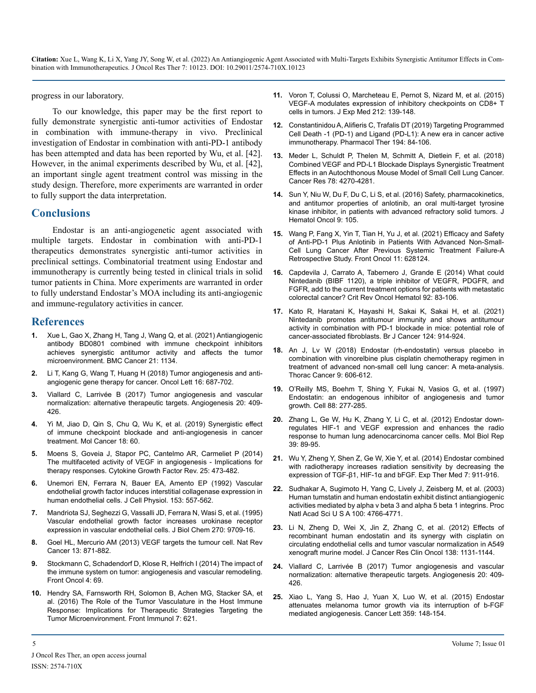progress in our laboratory.

To our knowledge, this paper may be the first report to fully demonstrate synergistic anti-tumor activities of Endostar in combination with immune-therapy in vivo. Preclinical investigation of Endostar in combination with anti-PD-1 antibody has been attempted and data has been reported by Wu, et al. [42]. However, in the animal experiments described by Wu, et al. [42], an important single agent treatment control was missing in the study design. Therefore, more experiments are warranted in order to fully support the data interpretation.

### **Conclusions**

Endostar is an anti-angiogenetic agent associated with multiple targets. Endostar in combination with anti-PD-1 therapeutics demonstrates synergistic anti-tumor activities in preclinical settings. Combinatorial treatment using Endostar and immunotherapy is currently being tested in clinical trials in solid tumor patients in China. More experiments are warranted in order to fully understand Endostar's MOA including its anti-angiogenic and immune-regulatory activities in cancer.

#### **References**

- **1.** [Xue L, Gao X, Zhang H, Tang J, Wang Q, et al. \(2021\) Antiangiogenic](https://bmccancer.biomedcentral.com/articles/10.1186/s12885-021-08859-5#:~:text=BD0801 showed more potent antitumor,and murine syngeneic tumor models.)  [antibody BD0801 combined with immune checkpoint inhibitors](https://bmccancer.biomedcentral.com/articles/10.1186/s12885-021-08859-5#:~:text=BD0801 showed more potent antitumor,and murine syngeneic tumor models.)  [achieves synergistic antitumor activity and affects the tumor](https://bmccancer.biomedcentral.com/articles/10.1186/s12885-021-08859-5#:~:text=BD0801 showed more potent antitumor,and murine syngeneic tumor models.)  [microenvironment. BMC Cancer 21: 1134.](https://bmccancer.biomedcentral.com/articles/10.1186/s12885-021-08859-5#:~:text=BD0801 showed more potent antitumor,and murine syngeneic tumor models.)
- **2.** [Li T, Kang G, Wang T, Huang H \(2018\) Tumor angiogenesis and anti](https://www.ncbi.nlm.nih.gov/pmc/articles/PMC6019900/)[angiogenic gene therapy for cancer. Oncol Lett 16: 687-702.](https://www.ncbi.nlm.nih.gov/pmc/articles/PMC6019900/)
- **3.** [Viallard C, Larrivée B \(2017\) Tumor angiogenesis and vascular](https://pubmed.ncbi.nlm.nih.gov/28660302/)  [normalization: alternative therapeutic targets. Angiogenesis 20: 409-](https://pubmed.ncbi.nlm.nih.gov/28660302/) [426](https://pubmed.ncbi.nlm.nih.gov/28660302/).
- **4.** [Yi M, Jiao D, Qin S, Chu Q, Wu K, et al. \(2019\) Synergistic effect](https://molecular-cancer.biomedcentral.com/articles/10.1186/s12943-019-0974-6)  [of immune checkpoint blockade and anti-angiogenesis in cancer](https://molecular-cancer.biomedcentral.com/articles/10.1186/s12943-019-0974-6)  [treatment. Mol Cancer 18: 60.](https://molecular-cancer.biomedcentral.com/articles/10.1186/s12943-019-0974-6)
- **5.** [Moens S, Goveia J, Stapor PC, Cantelmo AR, Carmeliet P \(2014\)](https://pubmed.ncbi.nlm.nih.gov/25169850/)  [The multifaceted activity of VEGF in angiogenesis - Implications for](https://pubmed.ncbi.nlm.nih.gov/25169850/) [therapy responses. Cytokine Growth Factor Rev. 25: 473-482](https://pubmed.ncbi.nlm.nih.gov/25169850/).
- **6.** [Unemori EN, Ferrara N, Bauer EA, Amento EP \(1992\) Vascular](https://pubmed.ncbi.nlm.nih.gov/1447317/)  [endothelial growth factor induces interstitial collagenase expression in](https://pubmed.ncbi.nlm.nih.gov/1447317/)  [human endothelial cells. J Cell Physiol. 153: 557-562.](https://pubmed.ncbi.nlm.nih.gov/1447317/)
- **7.** [Mandriota SJ, Seghezzi G, Vassalli JD, Ferrara N, Wasi S, et al. \(1995\)](https://pubmed.ncbi.nlm.nih.gov/7730348/)  [Vascular endothelial growth factor increases urokinase receptor](https://pubmed.ncbi.nlm.nih.gov/7730348/)  [expression in vascular endothelial cells. J Biol Chem 270: 9709-16](https://pubmed.ncbi.nlm.nih.gov/7730348/).
- **8.** [Goel HL, Mercurio AM \(2013\) VEGF targets the tumour cell. Nat Rev](https://pubmed.ncbi.nlm.nih.gov/24263190/) [Cancer 13: 871-882.](https://pubmed.ncbi.nlm.nih.gov/24263190/)
- **9.** [Stockmann C, Schadendorf D, Klose R, Helfrich I \(2014\) The impact of](https://www.ncbi.nlm.nih.gov/pmc/articles/PMC3986554/)  [the immune system on tumor: angiogenesis and vascular remodeling.](https://www.ncbi.nlm.nih.gov/pmc/articles/PMC3986554/)  [Front Oncol 4: 69.](https://www.ncbi.nlm.nih.gov/pmc/articles/PMC3986554/)
- **10.** [Hendry SA, Farnsworth RH, Solomon B, Achen MG, Stacker SA, et](https://www.ncbi.nlm.nih.gov/pmc/articles/PMC5168440/) [al. \(2016\) The Role of the Tumor Vasculature in the Host Immune](https://www.ncbi.nlm.nih.gov/pmc/articles/PMC5168440/)  [Response: Implications for Therapeutic Strategies Targeting the](https://www.ncbi.nlm.nih.gov/pmc/articles/PMC5168440/)  [Tumor Microenvironment. Front Immunol 7: 621.](https://www.ncbi.nlm.nih.gov/pmc/articles/PMC5168440/)
- **11.** [Voron T, Colussi O, Marcheteau E, Pernot S, Nizard M, et al. \(2015\)](https://www.ncbi.nlm.nih.gov/pmc/articles/PMC4322048/)  [VEGF-A modulates expression of inhibitory checkpoints on CD8+ T](https://www.ncbi.nlm.nih.gov/pmc/articles/PMC4322048/)  [cells in tumors. J Exp Med 212: 139-148.](https://www.ncbi.nlm.nih.gov/pmc/articles/PMC4322048/)
- **12.** [Constantinidou A, Alifieris C, Trafalis DT \(2019\)](https://pubmed.ncbi.nlm.nih.gov/30268773/) Targeting Programmed [Cell Death -1 \(PD-1\) and Ligand \(PD-L1\): A new era in cancer active](https://pubmed.ncbi.nlm.nih.gov/30268773/) [immunotherapy. Pharmacol Ther 194: 84-106.](https://pubmed.ncbi.nlm.nih.gov/30268773/)
- **13.** [Meder L, Schuldt P, Thelen M, Schmitt A, Dietlein F, et al. \(2018\)](https://pubmed.ncbi.nlm.nih.gov/29776963/)  [Combined VEGF and PD-L1 Blockade Displays Synergistic Treatment](https://pubmed.ncbi.nlm.nih.gov/29776963/)  [Effects in an Autochthonous Mouse Model of Small Cell Lung Cancer.](https://pubmed.ncbi.nlm.nih.gov/29776963/)  [Cancer Res 78: 4270-4281](https://pubmed.ncbi.nlm.nih.gov/29776963/).
- **14.** [Sun Y, Niu W, Du F, Du C, Li S, et al. \(2016\) Safety, pharmacokinetics,](https://pubmed.ncbi.nlm.nih.gov/27716285/)  [and antitumor properties of anlotinib, an oral multi-target tyrosine](https://pubmed.ncbi.nlm.nih.gov/27716285/) [kinase inhibitor, in patients with advanced refractory solid tumors. J](https://pubmed.ncbi.nlm.nih.gov/27716285/)  [Hematol Oncol 9: 105](https://pubmed.ncbi.nlm.nih.gov/27716285/).
- **15.** [Wang P, Fang X, Yin T, Tian H, Yu J, et al. \(2021\) Efficacy and Safety](https://pubmed.ncbi.nlm.nih.gov/33791214/) [of Anti-PD-1 Plus Anlotinib in Patients With Advanced Non-Small-](https://pubmed.ncbi.nlm.nih.gov/33791214/)[Cell Lung Cancer After Previous Systemic Treatment Failure-A](https://pubmed.ncbi.nlm.nih.gov/33791214/)  [Retrospective Study. Front Oncol 11: 628124.](https://pubmed.ncbi.nlm.nih.gov/33791214/)
- **16.** [Capdevila J, Carrato A, Tabernero J, Grande E \(2014\) What could](https://pubmed.ncbi.nlm.nih.gov/24924525/)  [Nintedanib \(BIBF 1120\), a triple inhibitor of VEGFR, PDGFR, and](https://pubmed.ncbi.nlm.nih.gov/24924525/)  [FGFR, add to the current treatment options for patients with metastatic](https://pubmed.ncbi.nlm.nih.gov/24924525/)  [colorectal cancer? Crit Rev Oncol Hematol 92: 83-106.](https://pubmed.ncbi.nlm.nih.gov/24924525/)
- **17.** [Kato R, Haratani K, Hayashi H, Sakai K, Sakai H, et al. \(2021\)](https://pubmed.ncbi.nlm.nih.gov/33299131/#:~:text=Conclusions%3A Our results suggest that,activity in combination with ICB.)  [Nintedanib promotes antitumour immunity and shows antitumour](https://pubmed.ncbi.nlm.nih.gov/33299131/#:~:text=Conclusions%3A Our results suggest that,activity in combination with ICB.)  [activity in combination with PD-1 blockade in mice: potential role of](https://pubmed.ncbi.nlm.nih.gov/33299131/#:~:text=Conclusions%3A Our results suggest that,activity in combination with ICB.) [cancer-associated fibroblasts. Br J Cancer 124: 914-924.](https://pubmed.ncbi.nlm.nih.gov/33299131/#:~:text=Conclusions%3A Our results suggest that,activity in combination with ICB.)
- **18.** [An J, Lv W \(2018\) Endostar \(rh-endostatin\) versus placebo in](https://pubmed.ncbi.nlm.nih.gov/29575575/)  [combination with vinorelbine plus cisplatin chemotherapy regimen in](https://pubmed.ncbi.nlm.nih.gov/29575575/)  [treatment of advanced non-small cell lung cancer: A meta-analysis.](https://pubmed.ncbi.nlm.nih.gov/29575575/)  [Thorac Cancer 9: 606-612.](https://pubmed.ncbi.nlm.nih.gov/29575575/)
- **19.** [O'Reilly MS, Boehm T, Shing Y, Fukai N, Vasios G, et al. \(1997\)](https://pubmed.ncbi.nlm.nih.gov/9008168/)  [Endostatin: an endogenous inhibitor of angiogenesis and tumor](https://pubmed.ncbi.nlm.nih.gov/9008168/)  [growth. Cell 88: 277-285](https://pubmed.ncbi.nlm.nih.gov/9008168/).
- **20.** [Zhang L, Ge W, Hu K, Zhang Y, Li C, et al. \(2012\) Endostar down](https://www.proquest.com/docview/905227654)[regulates HIF-1 and VEGF expression and enhances the radio](https://www.proquest.com/docview/905227654)  [response to human lung adenocarcinoma cancer cells. Mol Biol Rep](https://www.proquest.com/docview/905227654)  [39: 89-95.](https://www.proquest.com/docview/905227654)
- **21.** [Wu Y, Zheng Y, Shen Z, Ge W, Xie Y, et al. \(2014\) Endostar combined](https://pubmed.ncbi.nlm.nih.gov/24669250/)  [with radiotherapy increases radiation sensitivity by decreasing the](https://pubmed.ncbi.nlm.nih.gov/24669250/)  [expression of TGF-β1, HIF-1α and bFGF. Exp Ther Med 7: 911-916](https://pubmed.ncbi.nlm.nih.gov/24669250/).
- **22.** [Sudhakar A, Sugimoto H, Yang C, Lively J, Zeisberg M, et al. \(2003\)](https://pubmed.ncbi.nlm.nih.gov/12682293/)  [Human tumstatin and human endostatin exhibit distinct antiangiogenic](https://pubmed.ncbi.nlm.nih.gov/12682293/)  [activities mediated by alpha v beta 3 and alpha 5 beta 1 integrins. Proc](https://pubmed.ncbi.nlm.nih.gov/12682293/) [Natl Acad Sci U S A 100: 4766-4771.](https://pubmed.ncbi.nlm.nih.gov/12682293/)
- **23.** [Li N, Zheng D, Wei X, Jin Z, Zhang C, et al. \(2012\) Effects of](https://pubmed.ncbi.nlm.nih.gov/22402599/) [recombinant human endostatin and its synergy with cisplatin on](https://pubmed.ncbi.nlm.nih.gov/22402599/)  [circulating endothelial cells and tumor vascular normalization in A549](https://pubmed.ncbi.nlm.nih.gov/22402599/)  [xenograft murine model. J Cancer Res Clin Oncol 138: 1131-1144.](https://pubmed.ncbi.nlm.nih.gov/22402599/)
- **24.** [Viallard C, Larrivée B \(2017\) Tumor angiogenesis and vascular](https://pubmed.ncbi.nlm.nih.gov/28660302/)  [normalization: alternative therapeutic targets. Angiogenesis 20: 409-](https://pubmed.ncbi.nlm.nih.gov/28660302/) [426.](https://pubmed.ncbi.nlm.nih.gov/28660302/)
- **25.** [Xiao L, Yang S, Hao J, Yuan X, Luo W, et al. \(2015\) Endostar](https://pubmed.ncbi.nlm.nih.gov/25597785/)  [attenuates melanoma tumor growth via its interruption of b-FGF](https://pubmed.ncbi.nlm.nih.gov/25597785/)  [mediated angiogenesis. Cancer Lett 359: 148-154.](https://pubmed.ncbi.nlm.nih.gov/25597785/)